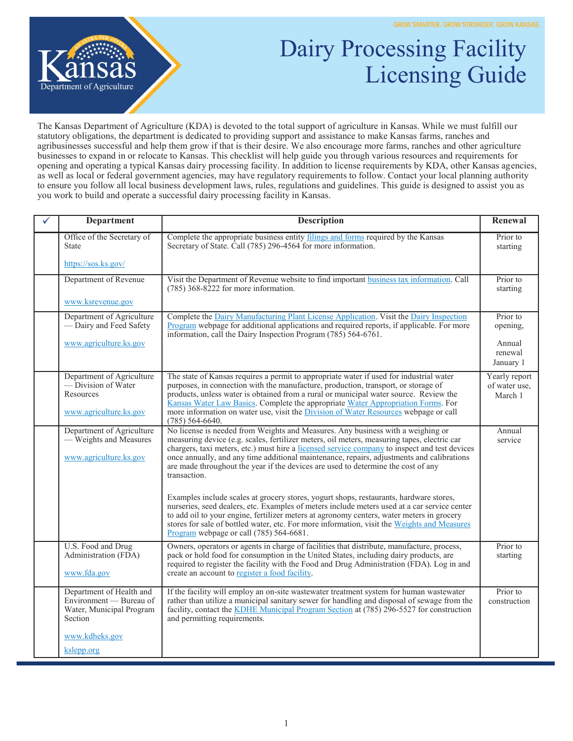

## Dairy Processing Facility Licensing Guide

The Kansas Department of Agriculture (KDA) is devoted to the total support of agriculture in Kansas. While we must fulfill our statutory obligations, the department is dedicated to providing support and assistance to make Kansas farms, ranches and agribusinesses successful and help them grow if that is their desire. We also encourage more farms, ranches and other agriculture businesses to expand in or relocate to Kansas. This checklist will help guide you through various resources and requirements for opening and operating a typical Kansas dairy processing facility. In addition to license requirements by KDA, other Kansas agencies, as well as local or federal government agencies, may have regulatory requirements to follow. Contact your local planning authority to ensure you follow all local business development laws, rules, regulations and guidelines. This guide is designed to assist you as you work to build and operate a successful dairy processing facility in Kansas.

| <b>Department</b>                                                                                   | <b>Description</b>                                                                                                                                                                                                                                                                                                                                                                                                                                                                | Renewal                                   |
|-----------------------------------------------------------------------------------------------------|-----------------------------------------------------------------------------------------------------------------------------------------------------------------------------------------------------------------------------------------------------------------------------------------------------------------------------------------------------------------------------------------------------------------------------------------------------------------------------------|-------------------------------------------|
| Office of the Secretary of<br><b>State</b>                                                          | Complete the appropriate business entity filings and forms required by the Kansas<br>Secretary of State. Call (785) 296-4564 for more information.                                                                                                                                                                                                                                                                                                                                | Prior to<br>starting                      |
| https://sos.ks.gov/                                                                                 |                                                                                                                                                                                                                                                                                                                                                                                                                                                                                   |                                           |
| Department of Revenue                                                                               | Visit the Department of Revenue website to find important business tax information. Call<br>$(785)$ 368-8222 for more information.                                                                                                                                                                                                                                                                                                                                                | Prior to<br>starting                      |
| www.ksrevenue.gov                                                                                   |                                                                                                                                                                                                                                                                                                                                                                                                                                                                                   |                                           |
| Department of Agriculture<br>- Dairy and Feed Safety                                                | Complete the Dairy Manufacturing Plant License Application. Visit the Dairy Inspection<br>Program webpage for additional applications and required reports, if applicable. For more<br>information, call the Dairy Inspection Program $(785)$ 564-6761.                                                                                                                                                                                                                           | Prior to<br>opening,                      |
| www.agriculture.ks.gov                                                                              |                                                                                                                                                                                                                                                                                                                                                                                                                                                                                   | Annual<br>renewal<br>January 1            |
| Department of Agriculture<br>$\sim$ Division of Water<br><b>Resources</b><br>www.agriculture.ks.gov | The state of Kansas requires a permit to appropriate water if used for industrial water<br>purposes, in connection with the manufacture, production, transport, or storage of<br>products, unless water is obtained from a rural or municipal water source. Review the<br>Kansas Water Law Basics. Complete the appropriate Water Appropriation Forms. For<br>more information on water use, visit the Division of Water Resources webpage or call<br>$(785) 564 - 6640.$         | Yearly report<br>of water use,<br>March 1 |
| Department of Agriculture<br>- Weights and Measures<br>www.agriculture.ks.gov                       | No license is needed from Weights and Measures. Any business with a weighing or<br>measuring device (e.g. scales, fertilizer meters, oil meters, measuring tapes, electric car<br>chargers, taxi meters, etc.) must hire a licensed service company to inspect and test devices<br>once annually, and any time additional maintenance, repairs, adjustments and calibrations<br>are made throughout the year if the devices are used to determine the cost of any<br>transaction. | Annual<br>service                         |
|                                                                                                     | Examples include scales at grocery stores, yogurt shops, restaurants, hardware stores,<br>nurseries, seed dealers, etc. Examples of meters include meters used at a car service center<br>to add oil to your engine, fertilizer meters at agronomy centers, water meters in grocery<br>stores for sale of bottled water, etc. For more information, visit the Weights and Measures<br>Program webpage or call (785) 564-6681.                                                     |                                           |
| U.S. Food and Drug<br>Administration (FDA)<br>www.fda.gov                                           | Owners, operators or agents in charge of facilities that distribute, manufacture, process,<br>pack or hold food for consumption in the United States, including dairy products, are<br>required to register the facility with the Food and Drug Administration (FDA). Log in and<br>create an account to register a food facility.                                                                                                                                                | Prior to<br>starting                      |
| Department of Health and<br>Environment - Bureau of<br>Water, Municipal Program<br>Section          | If the facility will employ an on-site was tewater treatment system for human was tewater<br>rather than utilize a municipal sanitary sewer for handling and disposal of sewage from the<br>facility, contact the KDHE Municipal Program Section at (785) 296-5527 for construction<br>and permitting requirements.                                                                                                                                                               | Prior to<br>construction                  |
| www.kdheks.gov<br>kslepp.org                                                                        |                                                                                                                                                                                                                                                                                                                                                                                                                                                                                   |                                           |